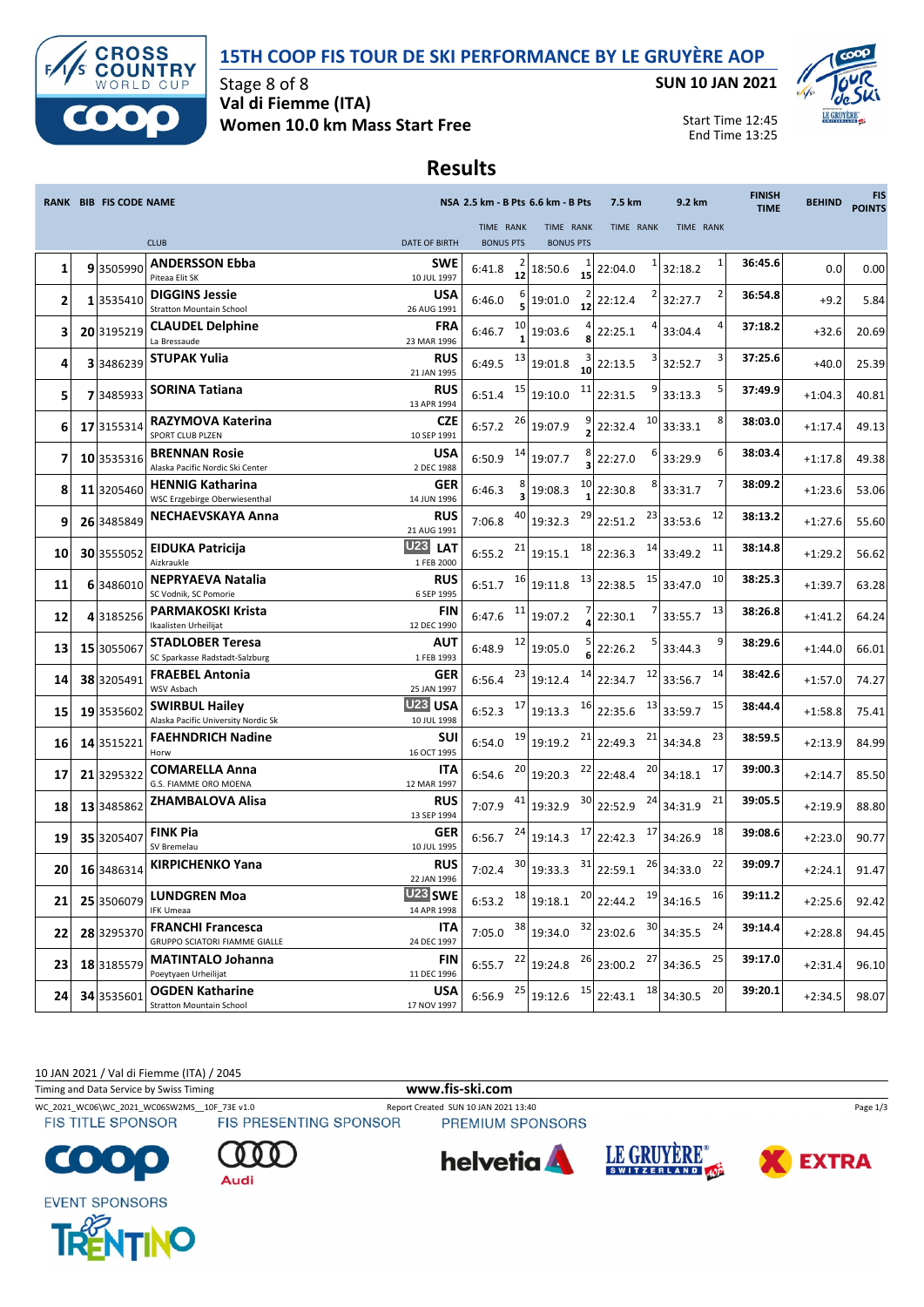## **15TH COOP FIS TOUR DE SKI PERFORMANCE BY LE GRUYÈRE AOP**



Stage 8 of 8 **Val di Fiemme (ITA) Women 10.0 km Mass Start Free** **SUN 10 JAN 2021**



Start Time 12:45 End Time 13:25

## **Results**

|    | <b>RANK BIB FIS CODE NAME</b> |                                                              |                                        | NSA 2.5 km - B Pts 6.6 km - B Pts |    |                               |    | 7.5 km                                                                                                                 | 9.2 km       |    | <b>FINISH</b><br><b>TIME</b> | <b>BEHIND</b> | <b>FIS</b><br><b>POINTS</b> |
|----|-------------------------------|--------------------------------------------------------------|----------------------------------------|-----------------------------------|----|-------------------------------|----|------------------------------------------------------------------------------------------------------------------------|--------------|----|------------------------------|---------------|-----------------------------|
|    |                               | <b>CLUB</b>                                                  | <b>DATE OF BIRTH</b>                   | TIME RANK<br><b>BONUS PTS</b>     |    | TIME RANK<br><b>BONUS PTS</b> |    | TIME RANK                                                                                                              | TIME RANK    |    |                              |               |                             |
| 1  | 93505990                      | <b>ANDERSSON Ebba</b><br>Piteaa Elit SK                      | <b>SWE</b><br>10 JUL 1997              | 6:41.8                            | 12 | 18:50.6                       | 15 | 1<br>22:04.0                                                                                                           | 32:18.2      |    | 36:45.6                      | 0.0           | 0.00                        |
| 2  | 1 3535410                     | <b>DIGGINS Jessie</b><br><b>Stratton Mountain School</b>     | <b>USA</b><br>26 AUG 1991              | 6:46.0                            |    | 19:01.0                       | 12 | 2<br>22:12.4                                                                                                           | 32:27.7      |    | 36:54.8                      | $+9.2$        | 5.84                        |
| 3  | 20 3195219                    | <b>CLAUDEL Delphine</b><br>La Bressaude                      | <b>FRA</b><br>23 MAR 1996              | 6:46.7                            | 10 | 19:03.6                       |    | 22:25.1                                                                                                                | 33:04.4      |    | 37:18.2                      | $+32.6$       | 20.69                       |
| 4  | 3 3486239                     | <b>STUPAK Yulia</b>                                          | <b>RUS</b><br>21 JAN 1995              | 6:49.5                            | 13 | 19:01.8                       | 10 | 3<br>22:13.5                                                                                                           | 32:52.7      |    | 37:25.6                      | $+40.0$       | 25.39                       |
| 5  | 73485933                      | <b>SORINA Tatiana</b>                                        | RUS<br>13 APR 1994                     | 6:51.4                            | 15 | 19:10.0                       | 11 | 9<br>22:31.5                                                                                                           | 33:13.3      |    | 37:49.9                      | $+1:04.3$     | 40.81                       |
| 6  | 17 3155314                    | RAZYMOVA Katerina<br>SPORT CLUB PLZEN                        | <b>CZE</b><br>10 SEP 1991              | 6:57.2                            | 26 | 19:07.9                       |    | 10<br>22:32.4                                                                                                          | 33:33.1      | 8  | 38:03.0                      | $+1:17.4$     | 49.13                       |
| 7  | 10 3535316                    | <b>BRENNAN Rosie</b><br>Alaska Pacific Nordic Ski Center     | <b>USA</b><br>2 DEC 1988               | 6:50.9                            | 14 | 19:07.7                       |    | 6<br>22:27.0                                                                                                           | 33:29.9      | 6  | 38:03.4                      | $+1:17.8$     | 49.38                       |
| 8  | 11 3205460                    | <b>HENNIG Katharina</b><br>WSC Erzgebirge Oberwiesenthal     | <b>GER</b><br>14 JUN 1996              | 6:46.3                            |    | 19:08.3                       | 10 | 8<br>22:30.8                                                                                                           | 33:31.7      |    | 38:09.2                      | $+1:23.6$     | 53.06                       |
| 9  | 26 3485849                    | <b>NECHAEVSKAYA Anna</b>                                     | <b>RUS</b><br>21 AUG 1991              | 7:06.8                            | 40 | 19:32.3                       | 29 | 23<br>22:51.2                                                                                                          | 33:53.6      | 12 | 38:13.2                      | $+1:27.6$     | 55.60                       |
| 10 | 30 3555052                    | <b>EIDUKA Patricija</b><br>Aizkraukle                        | <b>U23</b><br><b>LAT</b><br>1 FEB 2000 | 6:55.2                            | 21 | 19:15.1                       | 18 | 14<br>22:36.3                                                                                                          | 33:49.2      | 11 | 38:14.8                      | $+1:29.2$     | 56.62                       |
| 11 | 6 3486010                     | <b>NEPRYAEVA Natalia</b><br>SC Vodnik, SC Pomorie            | <b>RUS</b><br>6 SEP 1995               | 6:51.7                            | 16 | 19:11.8                       | 13 | 15<br>22:38.5                                                                                                          | 33:47.0      | 10 | 38:25.3                      | $+1:39.7$     | 63.28                       |
| 12 | 4 3185256                     | <b>PARMAKOSKI Krista</b><br>Ikaalisten Urheilijat            | <b>FIN</b><br>12 DEC 1990              | 6:47.6                            | 11 | 19:07.2                       |    | 22:30.1                                                                                                                | 33:55.7      | 13 | 38:26.8                      | $+1:41.2$     | 64.24                       |
| 13 | 15 3055067                    | <b>STADLOBER Teresa</b><br>SC Sparkasse Radstadt-Salzburg    | AUT<br>1 FEB 1993                      | 6:48.9                            | 12 | 19:05.0                       |    | 5<br>22:26.2                                                                                                           | 33:44.3      |    | 38:29.6                      | $+1:44.0$     | 66.01                       |
| 14 | 38 3205491                    | <b>FRAEBEL Antonia</b><br>WSV Asbach                         | <b>GER</b><br>25 JAN 1997              | 6:56.4                            | 23 | 19:12.4                       | 14 | 12<br>22:34.7                                                                                                          | 33:56.7      | 14 | 38:42.6                      | $+1:57.0$     | 74.27                       |
| 15 | 19 3535602                    | <b>SWIRBUL Hailey</b><br>Alaska Pacific University Nordic Sk | U <sub>23</sub> USA<br>10 JUL 1998     | 6:52.3                            | 17 | 19:13.3                       | 16 | 13<br>22:35.6                                                                                                          | 33:59.7      | 15 | 38:44.4                      | $+1:58.8$     | 75.41                       |
| 16 | 14 3515221                    | <b>FAEHNDRICH Nadine</b><br>Horw                             | SUI<br>16 OCT 1995                     | 6:54.0                            | 19 | 19:19.2                       | 21 | 21<br>22:49.3                                                                                                          | 34:34.8      | 23 | 38:59.5                      | $+2:13.9$     | 84.99                       |
| 17 | 21 3295322                    | <b>COMARELLA Anna</b><br>G.S. FIAMME ORO MOENA               | <b>ITA</b><br>12 MAR 1997              | 6:54.6                            | 20 | 19:20.3                       | 22 | 20<br>22:48.4                                                                                                          | 34:18.1      | 17 | 39:00.3                      | $+2:14.7$     | 85.50                       |
| 18 | 13 3485862                    | <b>ZHAMBALOVA Alisa</b>                                      | <b>RUS</b><br>13 SEP 1994              | 7:07.9                            | 41 | 19:32.9                       | 30 | 24<br>22:52.9                                                                                                          | 34:31.9      | 21 | 39:05.5                      | $+2:19.9$     | 88.80                       |
| 19 | 35 3205407                    | <b>FINK Pia</b><br>SV Bremelau                               | <b>GER</b><br>10 JUL 1995              | 6:56.7                            | 24 | 19:14.3                       | 17 | 17<br>22:42.3                                                                                                          | 34:26.9      | 18 | 39:08.6                      | $+2:23.0$     | 90.77                       |
| 20 | 16 3486314                    | <b>KIRPICHENKO Yana</b>                                      | <b>RUS</b><br>22 JAN 1996              | 7:02.4                            | 30 | 19:33.3                       | 31 | 22:59.1                                                                                                                | $26$ 34:33.0 | 22 | 39:09.7                      | $+2:24.1$     | 91.47                       |
| 21 |                               | 25 3506079 LUNDGREN Moa<br><b>IFK Umeaa</b>                  | U23 SWE<br>14 APR 1998                 |                                   |    |                               |    | 6:53.2 $^{18}$ 19:18.1 $^{20}$ 22:44.2 $^{19}$ 34:16.5                                                                 |              | 16 | 39:11.2                      | $+2:25.6$     | 92.42                       |
| 22 | 28 3295370                    | <b>FRANCHI Francesca</b><br>GRUPPO SCIATORI FIAMME GIALLE    | <b>ITA</b><br>24 DEC 1997              | 7:05.0                            |    |                               |    | $\begin{array}{ c c c c c c c } \hline \end{array}$ 19:34.0 $\begin{array}{ c c c c c } \hline \end{array}$ 30 34:35.5 |              | 24 | 39:14.4                      | $+2:28.8$     | 94.45                       |
| 23 | 18 3185579                    | <b>MATINTALO Johanna</b><br>Poeytyaen Urheilijat             | FIN<br>11 DEC 1996                     | $6:55.7$ <sup>22</sup>            |    |                               |    | $19:24.8$ $^{26}$ 23:00.2                                                                                              | $27$ 34:36.5 | 25 | 39:17.0                      | $+2:31.4$     | 96.10                       |
| 24 | 34 3535601                    | <b>OGDEN Katharine</b><br><b>Stratton Mountain School</b>    | <b>USA</b><br>17 NOV 1997              | 6:56.9                            | 25 | 19:12.6                       | 15 | 22:43.1                                                                                                                | $18$ 34:30.5 | 20 | 39:20.1                      | $+2:34.5$     | 98.07                       |

10 JAN 2021 / Val di Fiemme (ITA) / 2045

Timing and Data Service by Swiss Timing **www.fis-ski.com**

WC\_2021\_WC06\WC\_2021\_WC06SW2MS\_\_10F\_73E v1.0 Report Created SUN 10 JAN 2021 13:40<br>FIS TITLE SPONSOR FIS PRESENTING SPONSOR PREMIUM SPONSORS

**FIS TITLE SPONSOR** 



Audi

PREMIUM SPONSORS







**EVENT SPONSORS** 

**COTO** 



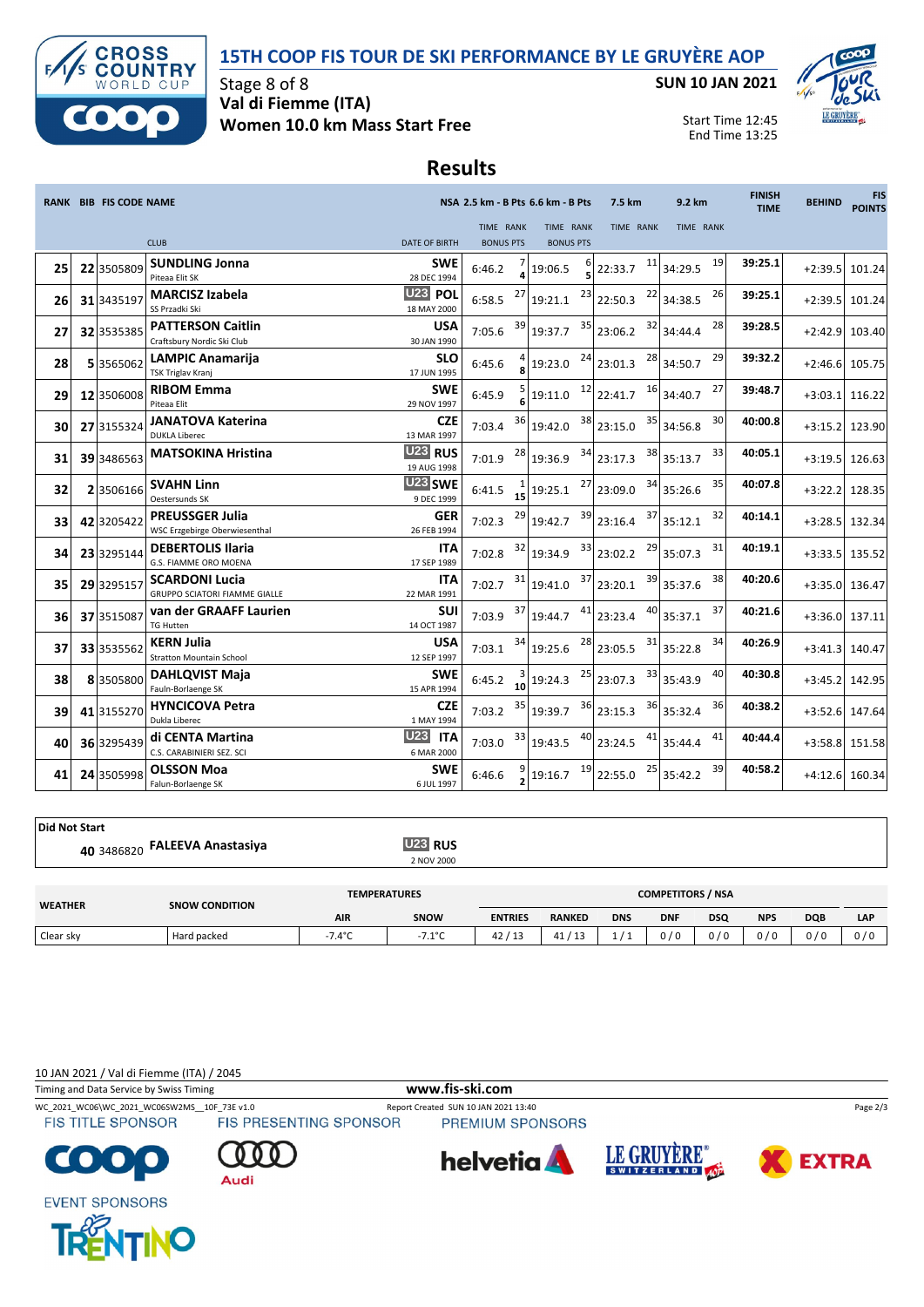## **15TH COOP FIS TOUR DE SKI PERFORMANCE BY LE GRUYÈRE AOP**



Stage 8 of 8 **Val di Fiemme (ITA) Women 10.0 km Mass Start Free** **SUN 10 JAN 2021**



Start Time 12:45 End Time 13:25

## **Results**

|    | <b>RANK BIB FIS CODE NAME</b> |                                                               |                                        |                               |    | NSA 2.5 km - B Pts 6.6 km - B Pts |    | 7.5 km           | 9.2 km           | <b>FINISH</b><br><b>TIME</b> | <b>BEHIND</b> | <b>FIS</b><br><b>POINTS</b> |
|----|-------------------------------|---------------------------------------------------------------|----------------------------------------|-------------------------------|----|-----------------------------------|----|------------------|------------------|------------------------------|---------------|-----------------------------|
|    |                               | <b>CLUB</b>                                                   | <b>DATE OF BIRTH</b>                   | TIME RANK<br><b>BONUS PTS</b> |    | TIME RANK<br><b>BONUS PTS</b>     |    | <b>TIME RANK</b> | <b>TIME RANK</b> |                              |               |                             |
| 25 | 22 3505809                    | <b>SUNDLING Jonna</b><br>Piteaa Elit SK                       | <b>SWE</b><br>28 DEC 1994              | 6:46.2                        |    | 19:06.5                           |    | 11<br>22:33.7    | 19<br>34:29.5    | 39:25.1                      | $+2:39.5$     | 101.24                      |
| 26 | 31 3435197                    | <b>MARCISZ Izabela</b><br>SS Przadki Ski                      | U23 POL<br>18 MAY 2000                 | 6:58.5                        | 27 | 19:21.1                           | 23 | 22<br>22:50.3    | 26<br>34:38.5    | 39:25.1                      | $+2:39.5$     | 101.24                      |
| 27 | 32 3535385                    | <b>PATTERSON Caitlin</b><br>Craftsbury Nordic Ski Club        | <b>USA</b><br>30 JAN 1990              | 7:05.6                        | 39 | 19:37.7                           | 35 | 32<br>23:06.2    | 28<br>34:44.4    | 39:28.5                      | $+2:42.9$     | 103.40                      |
| 28 | 53565062                      | <b>LAMPIC Anamarija</b><br><b>TSK Triglav Kranj</b>           | <b>SLO</b><br>17 JUN 1995              | 6:45.6                        |    | 19:23.0                           | 24 | 28<br>23:01.3    | 29<br>34:50.7    | 39:32.2                      | $+2:46.6$     | 105.75                      |
| 29 | 12 3506008                    | <b>RIBOM Emma</b><br>Piteaa Elit                              | <b>SWE</b><br>29 NOV 1997              | 6:45.9                        |    | 19:11.0                           | 12 | 16<br>22:41.7    | 27<br>34:40.7    | 39:48.7                      | $+3:03.1$     | 116.22                      |
| 30 | 27 3155324                    | <b>JANATOVA Katerina</b><br><b>DUKLA Liberec</b>              | <b>CZE</b><br>13 MAR 1997              | 7:03.4                        | 36 | 19:42.0                           | 38 | 35<br>23:15.0    | 30<br>34:56.8    | 40:00.8                      | $+3:15.2$     | 123.90                      |
| 31 | 39 3486563                    | <b>MATSOKINA Hristina</b>                                     | U23 RUS<br>19 AUG 1998                 | 7:01.9                        | 28 | 19:36.9                           | 34 | 38<br>23:17.3    | 33<br>35:13.7    | 40:05.1                      | $+3:19.5$     | 126.63                      |
| 32 | 23506166                      | <b>SVAHN Linn</b><br>Oestersunds SK                           | U23 SWE<br>9 DEC 1999                  | 6:41.5                        | 15 | 19:25.1                           | 27 | 34<br>23:09.0    | 35<br>35:26.6    | 40:07.8                      | $+3:22.2$     | 128.35                      |
| 33 | 42 3205422                    | <b>PREUSSGER Julia</b><br>WSC Erzgebirge Oberwiesenthal       | <b>GER</b><br>26 FEB 1994              | 7:02.3                        | 29 | 19:42.7                           | 39 | 37<br>23:16.4    | 32<br>35:12.1    | 40:14.1                      | $+3:28.5$     | 132.34                      |
| 34 | 23 3295144                    | <b>DEBERTOLIS Ilaria</b><br>G.S. FIAMME ORO MOENA             | <b>ITA</b><br>17 SEP 1989              | 7:02.8                        | 32 | 19:34.9                           | 33 | 29<br>23:02.2    | 31<br>35:07.3    | 40:19.1                      | $+3:33.5$     | 135.52                      |
| 35 | 29 3295157                    | <b>SCARDONI Lucia</b><br><b>GRUPPO SCIATORI FIAMME GIALLE</b> | <b>ITA</b><br>22 MAR 1991              | 7:02.7                        | 31 | 19:41.0                           | 37 | 39<br>23:20.1    | 38<br>35:37.6    | 40:20.6                      | $+3:35.0$     | 136.47                      |
| 36 | 37 3515087                    | van der GRAAFF Laurien<br><b>TG Hutten</b>                    | <b>SUI</b><br>14 OCT 1987              | 7:03.9                        | 37 | 19:44.7                           | 41 | 40<br>23:23.4    | 37<br>35:37.1    | 40:21.6                      | $+3:36.0$     | 137.11                      |
| 37 | 33 3535562                    | <b>KERN Julia</b><br><b>Stratton Mountain School</b>          | <b>USA</b><br>12 SEP 1997              | 7:03.1                        | 34 | 19:25.6                           | 28 | 31<br>23:05.5    | 34<br>35:22.8    | 40:26.9                      | $+3:41.3$     | 140.47                      |
| 38 | 83505800                      | <b>DAHLQVIST Maja</b><br>Fauln-Borlaenge SK                   | <b>SWE</b><br>15 APR 1994              | 6:45.2                        | 10 | 19:24.3                           | 25 | 33<br>23:07.3    | 40<br>35:43.9    | 40:30.8                      | $+3:45.2$     | 142.95                      |
| 39 | 41 3155270                    | <b>HYNCICOVA Petra</b><br>Dukla Liberec                       | <b>CZE</b><br>1 MAY 1994               | 7:03.2                        | 35 | 19:39.7                           | 36 | 36<br>23:15.3    | 36<br>35:32.4    | 40:38.2                      | $+3:52.6$     | 147.64                      |
| 40 | 36 3295439                    | di CENTA Martina<br>C.S. CARABINIERI SEZ. SCI                 | <b>U23</b><br><b>ITA</b><br>6 MAR 2000 | 7:03.0                        | 33 | 19:43.5                           |    | 41<br>23:24.5    | 41<br>35:44.4    | 40:44.4                      |               | $+3:58.8$ 151.58            |
| 41 | 24 3505998                    | <b>OLSSON Moa</b><br>Falun-Borlaenge SK                       | <b>SWE</b><br>6 JUL 1997               | 6:46.6                        |    | 19:16.7                           | 19 | 25<br>22:55.0    | 39<br>35:42.2    | 40:58.2                      |               | $+4:12.6$ 160.34            |

**Did Not Start**

**FALEEVA Anastasiya U23 RUS** 2 NOV 2000 **<sup>40</sup>** <sup>3486820</sup>

| <b>WEATHER</b> | <b>SNOW CONDITION</b> | <b>TEMPERATURES</b> |                  |                | <b>COMPETITORS / NSA</b> |            |            |            |            |            |     |  |
|----------------|-----------------------|---------------------|------------------|----------------|--------------------------|------------|------------|------------|------------|------------|-----|--|
|                |                       | AIR                 | SNOW             | <b>ENTRIES</b> | <b>RANKED</b>            | <b>DNS</b> | <b>DNF</b> | <b>DSQ</b> | <b>NPS</b> | <b>DQB</b> | LAP |  |
| Clear sky      | Hard packed           | 7.4°C               | $-7.1^{\circ}$ C | / 13<br>42     | 112<br>41                |            | 0/0        | 0/0        | 0/0        | 0/0        | 0/0 |  |

10 JAN 2021 / Val di Fiemme (ITA) / 2045

 $\mathbf O$ 

**EVENT SPONSORS**